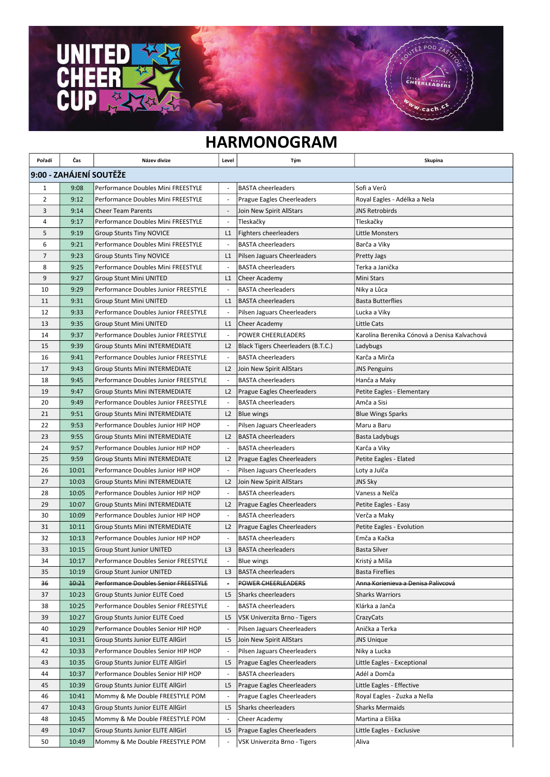## HARMONOGRAM

 $7.900$ 

CHEERLEADER

w.cach

 $\overline{\textsf{U}}$ 

 $\bullet$ 

 $\overline{a}$ 

Ķ

 $\mathbf{D}$ 

| Pořadí                  | Čas   | Název divize                          | Level                    | Tým                                | Skupina                                      |  |  |  |
|-------------------------|-------|---------------------------------------|--------------------------|------------------------------------|----------------------------------------------|--|--|--|
| 9:00 - ZAHÁJENÍ SOUTĚŽE |       |                                       |                          |                                    |                                              |  |  |  |
| 1                       | 9:08  | Performance Doubles Mini FREESTYLE    |                          | <b>BASTA cheerleaders</b>          | Sofi a Verů                                  |  |  |  |
| 2                       | 9:12  | Performance Doubles Mini FREESTYLE    |                          | Prague Eagles Cheerleaders         | Royal Eagles - Adélka a Nela                 |  |  |  |
| 3                       | 9:14  | <b>Cheer Team Parents</b>             |                          | Join New Spirit AllStars           | <b>JNS Retrobirds</b>                        |  |  |  |
| 4                       | 9:17  | Performance Doubles Mini FREESTYLE    |                          | Tleskačky                          | Tleskačky                                    |  |  |  |
| 5                       | 9:19  | <b>Group Stunts Tiny NOVICE</b>       | L1                       | Fighters cheerleaders              | Little Monsters                              |  |  |  |
| 6                       | 9:21  | Performance Doubles Mini FREESTYLE    |                          | <b>BASTA cheerleaders</b>          | Barča a Viky                                 |  |  |  |
| $\overline{7}$          | 9:23  | <b>Group Stunts Tiny NOVICE</b>       | L1                       | Pilsen Jaguars Cheerleaders        | <b>Pretty Jags</b>                           |  |  |  |
| 8                       | 9:25  | Performance Doubles Mini FREESTYLE    |                          | <b>BASTA cheerleaders</b>          | Terka a Janička                              |  |  |  |
| 9                       | 9:27  | <b>Group Stunt Mini UNITED</b>        | L1                       | Cheer Academy                      | Mini Stars                                   |  |  |  |
| 10                      | 9:29  | Performance Doubles Junior FREESTYLE  |                          | <b>BASTA cheerleaders</b>          | Niky a Lůca                                  |  |  |  |
| 11                      | 9:31  | <b>Group Stunt Mini UNITED</b>        | L <sub>1</sub>           | <b>BASTA cheerleaders</b>          | <b>Basta Butterflies</b>                     |  |  |  |
| 12                      | 9:33  | Performance Doubles Junior FREESTYLE  |                          | Pilsen Jaguars Cheerleaders        | Lucka a Viky                                 |  |  |  |
| 13                      | 9:35  | <b>Group Stunt Mini UNITED</b>        | L1                       | Cheer Academy                      | Little Cats                                  |  |  |  |
| 14                      | 9:37  | Performance Doubles Junior FREESTYLE  | $\overline{\phantom{a}}$ | <b>POWER CHEERLEADERS</b>          | Karolína Berenika Cónová a Denisa Kalvachová |  |  |  |
| 15                      | 9:39  | <b>Group Stunts Mini INTERMEDIATE</b> | L2                       | Black Tigers Cheerleaders (B.T.C.) | Ladybugs                                     |  |  |  |
| 16                      | 9:41  | Performance Doubles Junior FREESTYLE  |                          | <b>BASTA cheerleaders</b>          | Karča a Mirča                                |  |  |  |
| 17                      | 9:43  | <b>Group Stunts Mini INTERMEDIATE</b> | L2                       | Join New Spirit AllStars           | <b>JNS Penguins</b>                          |  |  |  |
| 18                      | 9:45  | Performance Doubles Junior FREESTYLE  |                          | <b>BASTA cheerleaders</b>          | Hanča a Maky                                 |  |  |  |
| 19                      | 9:47  | <b>Group Stunts Mini INTERMEDIATE</b> | L <sub>2</sub>           | Prague Eagles Cheerleaders         | Petite Eagles - Elementary                   |  |  |  |
| 20                      | 9:49  | Performance Doubles Junior FREESTYLE  |                          | <b>BASTA cheerleaders</b>          | Amča a Sisi                                  |  |  |  |
| 21                      | 9:51  | <b>Group Stunts Mini INTERMEDIATE</b> | L2                       | <b>Blue wings</b>                  | <b>Blue Wings Sparks</b>                     |  |  |  |
| 22                      | 9:53  | Performance Doubles Junior HIP HOP    |                          | Pilsen Jaguars Cheerleaders        | Maru a Baru                                  |  |  |  |
| 23                      | 9:55  | <b>Group Stunts Mini INTERMEDIATE</b> | L <sub>2</sub>           | <b>BASTA cheerleaders</b>          | Basta Ladybugs                               |  |  |  |
| 24                      | 9:57  | Performance Doubles Junior HIP HOP    |                          | <b>BASTA cheerleaders</b>          | Karča a Viky                                 |  |  |  |
| 25                      | 9:59  | <b>Group Stunts Mini INTERMEDIATE</b> | L <sub>2</sub>           | Prague Eagles Cheerleaders         | Petite Eagles - Elated                       |  |  |  |
| 26                      | 10:01 | Performance Doubles Junior HIP HOP    |                          | Pilsen Jaguars Cheerleaders        | Loty a Julča                                 |  |  |  |
| 27                      | 10:03 | <b>Group Stunts Mini INTERMEDIATE</b> | L2                       | Join New Spirit AllStars           | <b>JNS Sky</b>                               |  |  |  |
| 28                      | 10:05 | Performance Doubles Junior HIP HOP    |                          | <b>BASTA cheerleaders</b>          | Vaness a Nelča                               |  |  |  |
| 29                      | 10:07 | <b>Group Stunts Mini INTERMEDIATE</b> | L2                       | Prague Eagles Cheerleaders         | Petite Eagles - Easy                         |  |  |  |
| 30                      | 10:09 | Performance Doubles Junior HIP HOP    |                          | <b>BASTA cheerleaders</b>          | Verča a Maky                                 |  |  |  |
| 31                      | 10:11 | <b>Group Stunts Mini INTERMEDIATE</b> | L2                       | Prague Eagles Cheerleaders         | Petite Eagles - Evolution                    |  |  |  |
| 32                      | 10:13 | Performance Doubles Junior HIP HOP    |                          | <b>BASTA cheerleaders</b>          | Emča a Kačka                                 |  |  |  |
| 33                      | 10:15 | <b>Group Stunt Junior UNITED</b>      | L <sub>3</sub>           | <b>BASTA cheerleaders</b>          | <b>Basta Silver</b>                          |  |  |  |
| 34                      | 10:17 | Performance Doubles Senior FREESTYLE  |                          | <b>Blue wings</b>                  | Kristý a Míša                                |  |  |  |
| 35                      | 10:19 | Group Stunt Junior UNITED             | L3                       | <b>BASTA</b> cheerleaders          | <b>Basta Fireflies</b>                       |  |  |  |
| 36                      | 10:21 | Performance Doubles Senior FREESTYLE  |                          | <b>POWER CHEERLEADERS</b>          | Anna Korienieva a Denisa Palivcová           |  |  |  |
| 37                      | 10:23 | Group Stunts Junior ELITE Coed        | L5                       | Sharks cheerleaders                | <b>Sharks Warriors</b>                       |  |  |  |
| 38                      | 10:25 | Performance Doubles Senior FREESTYLE  | $\overline{\phantom{a}}$ | <b>BASTA cheerleaders</b>          | Klárka a Janča                               |  |  |  |
| 39                      | 10:27 | Group Stunts Junior ELITE Coed        | L5                       | VSK Univerzita Brno - Tigers       | CrazyCats                                    |  |  |  |
| 40                      | 10:29 | Performance Doubles Senior HIP HOP    |                          | Pilsen Jaguars Cheerleaders        | Anička a Terka                               |  |  |  |
| 41                      | 10:31 | Group Stunts Junior ELITE AllGirl     | L5                       | Join New Spirit AllStars           | <b>JNS Unique</b>                            |  |  |  |
| 42                      | 10:33 | Performance Doubles Senior HIP HOP    |                          | Pilsen Jaguars Cheerleaders        | Niky a Lucka                                 |  |  |  |
| 43                      | 10:35 | Group Stunts Junior ELITE AllGirl     | L5                       | Prague Eagles Cheerleaders         | Little Eagles - Exceptional                  |  |  |  |
| 44                      | 10:37 | Performance Doubles Senior HIP HOP    |                          | <b>BASTA cheerleaders</b>          | Adél a Domča                                 |  |  |  |
| 45                      | 10:39 | Group Stunts Junior ELITE AllGirl     | L5                       | Prague Eagles Cheerleaders         | Little Eagles - Effective                    |  |  |  |
| 46                      | 10:41 | Mommy & Me Double FREESTYLE POM       |                          | Prague Eagles Cheerleaders         | Royal Eagles - Zuzka a Nella                 |  |  |  |
| 47                      | 10:43 | Group Stunts Junior ELITE AllGirl     | L5                       | Sharks cheerleaders                | <b>Sharks Mermaids</b>                       |  |  |  |
| 48                      | 10:45 | Mommy & Me Double FREESTYLE POM       |                          | Cheer Academy                      | Martina a Eliška                             |  |  |  |
| 49                      | 10:47 | Group Stunts Junior ELITE AllGirl     | L5                       | Prague Eagles Cheerleaders         | Little Eagles - Exclusive                    |  |  |  |
| 50                      | 10:49 | Mommy & Me Double FREESTYLE POM       |                          | VSK Univerzita Brno - Tigers       | Aliva                                        |  |  |  |
|                         |       |                                       |                          |                                    |                                              |  |  |  |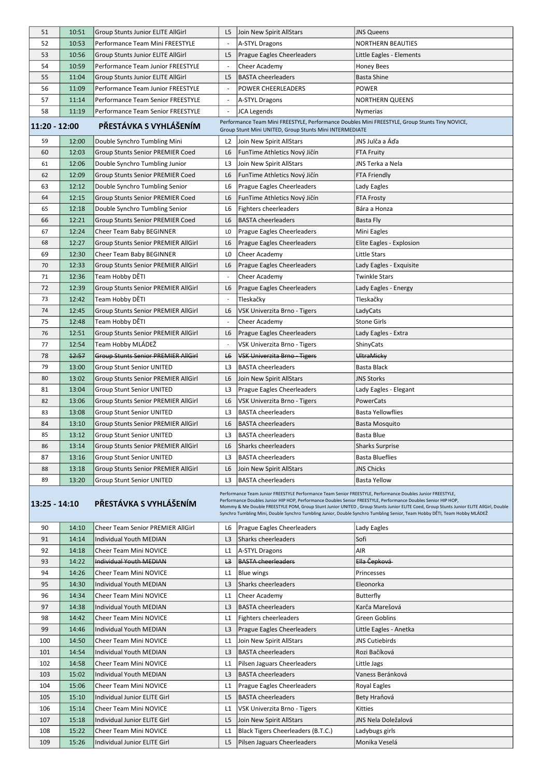| 51  | 10:51                                                                                                                                                                                                                                                                                                                                                                                                                                                                                                                                         | <b>Group Stunts Junior ELITE AllGirl</b>   | L5             | Join New Spirit AllStars           | <b>JNS Queens</b>        |  |  |  |  |  |  |
|-----|-----------------------------------------------------------------------------------------------------------------------------------------------------------------------------------------------------------------------------------------------------------------------------------------------------------------------------------------------------------------------------------------------------------------------------------------------------------------------------------------------------------------------------------------------|--------------------------------------------|----------------|------------------------------------|--------------------------|--|--|--|--|--|--|
| 52  | 10:53                                                                                                                                                                                                                                                                                                                                                                                                                                                                                                                                         | Performance Team Mini FREESTYLE            |                | A-STYL Dragons                     | <b>NORTHERN BEAUTIES</b> |  |  |  |  |  |  |
| 53  | 10:56                                                                                                                                                                                                                                                                                                                                                                                                                                                                                                                                         | <b>Group Stunts Junior ELITE AllGirl</b>   | L <sub>5</sub> | Prague Eagles Cheerleaders         | Little Eagles - Elements |  |  |  |  |  |  |
| 54  | 10:59                                                                                                                                                                                                                                                                                                                                                                                                                                                                                                                                         | Performance Team Junior FREESTYLE          |                | Cheer Academy                      | Honey Bees               |  |  |  |  |  |  |
| 55  | 11:04                                                                                                                                                                                                                                                                                                                                                                                                                                                                                                                                         | <b>Group Stunts Junior ELITE AllGirl</b>   | L <sub>5</sub> | <b>BASTA cheerleaders</b>          | <b>Basta Shine</b>       |  |  |  |  |  |  |
| 56  | 11:09                                                                                                                                                                                                                                                                                                                                                                                                                                                                                                                                         | Performance Team Junior FREESTYLE          |                | POWER CHEERLEADERS                 | <b>POWER</b>             |  |  |  |  |  |  |
| 57  | 11:14                                                                                                                                                                                                                                                                                                                                                                                                                                                                                                                                         | Performance Team Senior FREESTYLE          |                | A-STYL Dragons                     | NORTHERN QUEENS          |  |  |  |  |  |  |
| 58  | 11:19                                                                                                                                                                                                                                                                                                                                                                                                                                                                                                                                         | Performance Team Senior FREESTYLE          |                | JCA Legends                        | Nymerias                 |  |  |  |  |  |  |
|     | Performance Team Mini FREESTYLE, Performance Doubles Mini FREESTYLE, Group Stunts Tiny NOVICE,<br>PŘESTÁVKA S VYHLÁŠENÍM<br>11:20 - 12:00<br>Group Stunt Mini UNITED, Group Stunts Mini INTERMEDIATE                                                                                                                                                                                                                                                                                                                                          |                                            |                |                                    |                          |  |  |  |  |  |  |
| 59  | 12:00                                                                                                                                                                                                                                                                                                                                                                                                                                                                                                                                         | Double Synchro Tumbling Mini               | L <sub>2</sub> | Join New Spirit AllStars           | JNS Julča a Áďa          |  |  |  |  |  |  |
| 60  | 12:03                                                                                                                                                                                                                                                                                                                                                                                                                                                                                                                                         | <b>Group Stunts Senior PREMIER Coed</b>    | L <sub>6</sub> | FunTime Athletics Nový Jičín       | FTA Fruity               |  |  |  |  |  |  |
| 61  | 12:06                                                                                                                                                                                                                                                                                                                                                                                                                                                                                                                                         | Double Synchro Tumbling Junior             | L3             | Join New Spirit AllStars           | JNS Terka a Nela         |  |  |  |  |  |  |
| 62  | 12:09                                                                                                                                                                                                                                                                                                                                                                                                                                                                                                                                         | <b>Group Stunts Senior PREMIER Coed</b>    | L6             | FunTime Athletics Nový Jičín       | <b>FTA Friendly</b>      |  |  |  |  |  |  |
| 63  | 12:12                                                                                                                                                                                                                                                                                                                                                                                                                                                                                                                                         | Double Synchro Tumbling Senior             | L6             | Prague Eagles Cheerleaders         | Lady Eagles              |  |  |  |  |  |  |
| 64  | 12:15                                                                                                                                                                                                                                                                                                                                                                                                                                                                                                                                         | Group Stunts Senior PREMIER Coed           | L6             | FunTime Athletics Nový Jičín       | <b>FTA Frosty</b>        |  |  |  |  |  |  |
| 65  | 12:18                                                                                                                                                                                                                                                                                                                                                                                                                                                                                                                                         | Double Synchro Tumbling Senior             | L6             | <b>Fighters cheerleaders</b>       | Bára a Honza             |  |  |  |  |  |  |
| 66  | 12:21                                                                                                                                                                                                                                                                                                                                                                                                                                                                                                                                         | <b>Group Stunts Senior PREMIER Coed</b>    | L6             | <b>BASTA cheerleaders</b>          | Basta Fly                |  |  |  |  |  |  |
| 67  | 12:24                                                                                                                                                                                                                                                                                                                                                                                                                                                                                                                                         | Cheer Team Baby BEGINNER                   | LO             | Prague Eagles Cheerleaders         | Mini Eagles              |  |  |  |  |  |  |
| 68  | 12:27                                                                                                                                                                                                                                                                                                                                                                                                                                                                                                                                         | <b>Group Stunts Senior PREMIER AllGirl</b> | L <sub>6</sub> | Prague Eagles Cheerleaders         | Elite Eagles - Explosion |  |  |  |  |  |  |
| 69  | 12:30                                                                                                                                                                                                                                                                                                                                                                                                                                                                                                                                         | Cheer Team Baby BEGINNER                   | L <sub>0</sub> | Cheer Academy                      | Little Stars             |  |  |  |  |  |  |
| 70  | 12:33                                                                                                                                                                                                                                                                                                                                                                                                                                                                                                                                         | <b>Group Stunts Senior PREMIER AllGirl</b> | L6             | Prague Eagles Cheerleaders         | Lady Eagles - Exquisite  |  |  |  |  |  |  |
| 71  | 12:36                                                                                                                                                                                                                                                                                                                                                                                                                                                                                                                                         | Team Hobby DĚTI                            |                | Cheer Academy                      | Twinkle Stars            |  |  |  |  |  |  |
| 72  | 12:39                                                                                                                                                                                                                                                                                                                                                                                                                                                                                                                                         | Group Stunts Senior PREMIER AllGirl        | L <sub>6</sub> | Prague Eagles Cheerleaders         | Lady Eagles - Energy     |  |  |  |  |  |  |
|     |                                                                                                                                                                                                                                                                                                                                                                                                                                                                                                                                               |                                            |                |                                    |                          |  |  |  |  |  |  |
| 73  | 12:42                                                                                                                                                                                                                                                                                                                                                                                                                                                                                                                                         | Team Hobby DĚTI                            |                | Tleskačky                          | Tleskačky                |  |  |  |  |  |  |
| 74  | 12:45                                                                                                                                                                                                                                                                                                                                                                                                                                                                                                                                         | <b>Group Stunts Senior PREMIER AllGirl</b> | L <sub>6</sub> | VSK Univerzita Brno - Tigers       | LadyCats                 |  |  |  |  |  |  |
| 75  | 12:48                                                                                                                                                                                                                                                                                                                                                                                                                                                                                                                                         | Team Hobby DĚTI                            |                | Cheer Academy                      | <b>Stone Girls</b>       |  |  |  |  |  |  |
| 76  | 12:51                                                                                                                                                                                                                                                                                                                                                                                                                                                                                                                                         | <b>Group Stunts Senior PREMIER AllGirl</b> | L6             | Prague Eagles Cheerleaders         | Lady Eagles - Extra      |  |  |  |  |  |  |
| 77  | 12:54                                                                                                                                                                                                                                                                                                                                                                                                                                                                                                                                         | Team Hobby MLÁDEŽ                          |                | VSK Univerzita Brno - Tigers       | ShinyCats                |  |  |  |  |  |  |
| 78  | 12:57                                                                                                                                                                                                                                                                                                                                                                                                                                                                                                                                         | <b>Group Stunts Senior PREMIER AllGirl</b> | L <sub>6</sub> | VSK Univerzita Brno - Tigers       | UltraMicky               |  |  |  |  |  |  |
| 79  | 13:00                                                                                                                                                                                                                                                                                                                                                                                                                                                                                                                                         | <b>Group Stunt Senior UNITED</b>           | L <sub>3</sub> | <b>BASTA cheerleaders</b>          | Basta Black              |  |  |  |  |  |  |
| 80  | 13:02                                                                                                                                                                                                                                                                                                                                                                                                                                                                                                                                         | <b>Group Stunts Senior PREMIER AllGirl</b> | L <sub>6</sub> | Join New Spirit AllStars           | JNS Storks               |  |  |  |  |  |  |
| 81  | 13:04                                                                                                                                                                                                                                                                                                                                                                                                                                                                                                                                         | <b>Group Stunt Senior UNITED</b>           | L3             | Prague Eagles Cheerleaders         | Lady Eagles - Elegant    |  |  |  |  |  |  |
| 82  | 13:06                                                                                                                                                                                                                                                                                                                                                                                                                                                                                                                                         | Group Stunts Senior PREMIER AllGirl        | L6             | VSK Univerzita Brno - Tigers       | PowerCats                |  |  |  |  |  |  |
| 83  | 13:08                                                                                                                                                                                                                                                                                                                                                                                                                                                                                                                                         | <b>Group Stunt Senior UNITED</b>           | L3             | <b>BASTA cheerleaders</b>          | <b>Basta Yellowflies</b> |  |  |  |  |  |  |
| 84  | 13:10                                                                                                                                                                                                                                                                                                                                                                                                                                                                                                                                         | <b>Group Stunts Senior PREMIER AllGirl</b> | L <sub>6</sub> | <b>BASTA cheerleaders</b>          | Basta Mosquito           |  |  |  |  |  |  |
| 85  | 13:12                                                                                                                                                                                                                                                                                                                                                                                                                                                                                                                                         | <b>Group Stunt Senior UNITED</b>           | L <sub>3</sub> | <b>BASTA cheerleaders</b>          | Basta Blue               |  |  |  |  |  |  |
| 86  | 13:14                                                                                                                                                                                                                                                                                                                                                                                                                                                                                                                                         | Group Stunts Senior PREMIER AllGirl        | L6             | Sharks cheerleaders                | <b>Sharks Surprise</b>   |  |  |  |  |  |  |
| 87  | 13:16                                                                                                                                                                                                                                                                                                                                                                                                                                                                                                                                         | <b>Group Stunt Senior UNITED</b>           | L <sub>3</sub> | <b>BASTA cheerleaders</b>          | <b>Basta Blueflies</b>   |  |  |  |  |  |  |
| 88  | 13:18                                                                                                                                                                                                                                                                                                                                                                                                                                                                                                                                         | <b>Group Stunts Senior PREMIER AllGirl</b> | L6             | Join New Spirit AllStars           | <b>JNS Chicks</b>        |  |  |  |  |  |  |
| 89  | 13:20                                                                                                                                                                                                                                                                                                                                                                                                                                                                                                                                         | <b>Group Stunt Senior UNITED</b>           | L3             | <b>BASTA cheerleaders</b>          | <b>Basta Yellow</b>      |  |  |  |  |  |  |
|     | Performance Team Junior FREESTYLE Performance Team Senior FREESTYLE, Performance Doubles Junior FREESTYLE,<br>Performance Doubles Junior HIP HOP, Performance Doubles Senior FREESTYLE, Performance Doubles Senior HIP HOP,<br>PŘESTÁVKA S VYHLÁŠENÍM<br> 13:25 - 14:10<br>Mommy & Me Double FREESTYLE POM, Group Stunt Junior UNITED, Group Stunts Junior ELITE Coed, Group Stunts Junior ELITE AllGirl, Double<br>Synchro Tumbling Mini, Double Synchro Tumbling Junior, Double Synchro Tumbling Senior, Team Hobby DĚTI, Team Hobby MLÁDEŽ |                                            |                |                                    |                          |  |  |  |  |  |  |
| 90  | 14:10                                                                                                                                                                                                                                                                                                                                                                                                                                                                                                                                         | Cheer Team Senior PREMIER AllGirl          | L6             | Prague Eagles Cheerleaders         | Lady Eagles              |  |  |  |  |  |  |
| 91  | 14:14                                                                                                                                                                                                                                                                                                                                                                                                                                                                                                                                         | Individual Youth MEDIAN                    | L <sub>3</sub> | Sharks cheerleaders                | Sofi                     |  |  |  |  |  |  |
| 92  | 14:18                                                                                                                                                                                                                                                                                                                                                                                                                                                                                                                                         | Cheer Team Mini NOVICE                     | L1             | A-STYL Dragons                     | AIR                      |  |  |  |  |  |  |
| 93  | 14:22                                                                                                                                                                                                                                                                                                                                                                                                                                                                                                                                         | Individual Youth MEDIAN                    | L3             | <b>BASTA cheerleaders</b>          | Ella Čepková             |  |  |  |  |  |  |
| 94  | 14:26                                                                                                                                                                                                                                                                                                                                                                                                                                                                                                                                         | Cheer Team Mini NOVICE                     | L1             | <b>Blue wings</b>                  | Princesses               |  |  |  |  |  |  |
| 95  | 14:30                                                                                                                                                                                                                                                                                                                                                                                                                                                                                                                                         | Individual Youth MEDIAN                    | L <sub>3</sub> | Sharks cheerleaders                | Eleonorka                |  |  |  |  |  |  |
| 96  | 14:34                                                                                                                                                                                                                                                                                                                                                                                                                                                                                                                                         | Cheer Team Mini NOVICE                     | L1             | Cheer Academy                      | <b>Butterfly</b>         |  |  |  |  |  |  |
| 97  | 14:38                                                                                                                                                                                                                                                                                                                                                                                                                                                                                                                                         | Individual Youth MEDIAN                    | L <sub>3</sub> | <b>BASTA cheerleaders</b>          | Karča Marešová           |  |  |  |  |  |  |
| 98  | 14:42                                                                                                                                                                                                                                                                                                                                                                                                                                                                                                                                         | Cheer Team Mini NOVICE                     | L1             | Fighters cheerleaders              | <b>Green Goblins</b>     |  |  |  |  |  |  |
| 99  | 14:46                                                                                                                                                                                                                                                                                                                                                                                                                                                                                                                                         | Individual Youth MEDIAN                    | L <sub>3</sub> | Prague Eagles Cheerleaders         | Little Eagles - Anetka   |  |  |  |  |  |  |
| 100 | 14:50                                                                                                                                                                                                                                                                                                                                                                                                                                                                                                                                         | Cheer Team Mini NOVICE                     | L1             | Join New Spirit AllStars           | <b>JNS Cutiebirds</b>    |  |  |  |  |  |  |
| 101 | 14:54                                                                                                                                                                                                                                                                                                                                                                                                                                                                                                                                         | <b>Individual Youth MEDIAN</b>             | L <sub>3</sub> | <b>BASTA cheerleaders</b>          | Rozi Bačíková            |  |  |  |  |  |  |
| 102 | 14:58                                                                                                                                                                                                                                                                                                                                                                                                                                                                                                                                         | Cheer Team Mini NOVICE                     | L1             | Pilsen Jaguars Cheerleaders        | Little Jags              |  |  |  |  |  |  |
| 103 | 15:02                                                                                                                                                                                                                                                                                                                                                                                                                                                                                                                                         | Individual Youth MEDIAN                    | L <sub>3</sub> | <b>BASTA cheerleaders</b>          | Vaness Beránková         |  |  |  |  |  |  |
| 104 | 15:06                                                                                                                                                                                                                                                                                                                                                                                                                                                                                                                                         | Cheer Team Mini NOVICE                     | L1             | Prague Eagles Cheerleaders         | Royal Eagles             |  |  |  |  |  |  |
| 105 | 15:10                                                                                                                                                                                                                                                                                                                                                                                                                                                                                                                                         | Individual Junior ELITE Girl               | L5             | <b>BASTA cheerleaders</b>          | Bety Hraňová             |  |  |  |  |  |  |
| 106 | 15:14                                                                                                                                                                                                                                                                                                                                                                                                                                                                                                                                         | Cheer Team Mini NOVICE                     | L1             | VSK Univerzita Brno - Tigers       | Kitties                  |  |  |  |  |  |  |
| 107 | 15:18                                                                                                                                                                                                                                                                                                                                                                                                                                                                                                                                         | Individual Junior ELITE Girl               | L5             | Join New Spirit AllStars           | JNS Nela Doležalová      |  |  |  |  |  |  |
| 108 | 15:22                                                                                                                                                                                                                                                                                                                                                                                                                                                                                                                                         | Cheer Team Mini NOVICE                     | L1             | Black Tigers Cheerleaders (B.T.C.) | Ladybugs girls           |  |  |  |  |  |  |
|     |                                                                                                                                                                                                                                                                                                                                                                                                                                                                                                                                               |                                            |                |                                    |                          |  |  |  |  |  |  |
| 109 | 15:26                                                                                                                                                                                                                                                                                                                                                                                                                                                                                                                                         | Individual Junior ELITE Girl               | L5             | Pilsen Jaguars Cheerleaders        | Monika Veselá            |  |  |  |  |  |  |